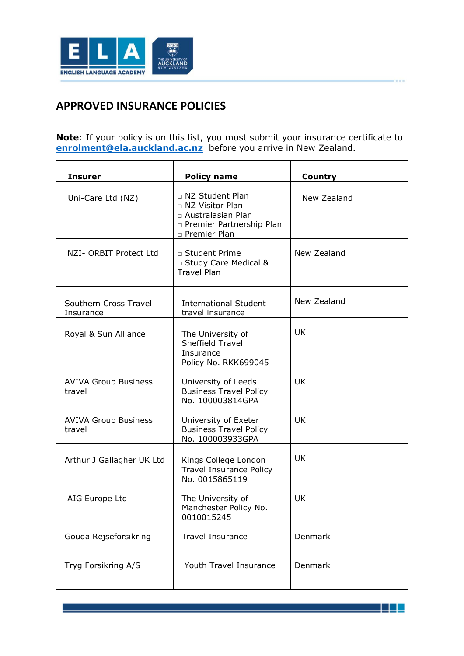

## **APPROVED INSURANCE POLICIES**

**Note**: If your policy is on this list, you must submit your insurance certificate to **[enrolment@ela.auckland.ac.nz](mailto:enrolment@ela.auckland.ac.nz)** before you arrive in New Zealand.

| <b>Insurer</b>                        | <b>Policy name</b>                                                                                            | <b>Country</b> |
|---------------------------------------|---------------------------------------------------------------------------------------------------------------|----------------|
| Uni-Care Ltd (NZ)                     | □ NZ Student Plan<br>□ NZ Visitor Plan<br>□ Australasian Plan<br>n Premier Partnership Plan<br>□ Premier Plan | New Zealand    |
| NZI- ORBIT Protect Ltd                | □ Student Prime<br>□ Study Care Medical &<br><b>Travel Plan</b>                                               | New Zealand    |
| Southern Cross Travel<br>Insurance    | <b>International Student</b><br>travel insurance                                                              | New Zealand    |
| Royal & Sun Alliance                  | The University of<br>Sheffield Travel<br>Insurance<br>Policy No. RKK699045                                    | <b>UK</b>      |
| <b>AVIVA Group Business</b><br>travel | University of Leeds<br><b>Business Travel Policy</b><br>No. 100003814GPA                                      | <b>UK</b>      |
| <b>AVIVA Group Business</b><br>travel | University of Exeter<br><b>Business Travel Policy</b><br>No. 100003933GPA                                     | <b>UK</b>      |
| Arthur J Gallagher UK Ltd             | Kings College London<br><b>Travel Insurance Policy</b><br>No. 0015865119                                      | <b>UK</b>      |
| AIG Europe Ltd                        | The University of<br>Manchester Policy No.<br>0010015245                                                      | UK             |
| Gouda Rejseforsikring                 | <b>Travel Insurance</b>                                                                                       | Denmark        |
| Tryg Forsikring A/S                   | Youth Travel Insurance                                                                                        | Denmark        |

电阻塞线